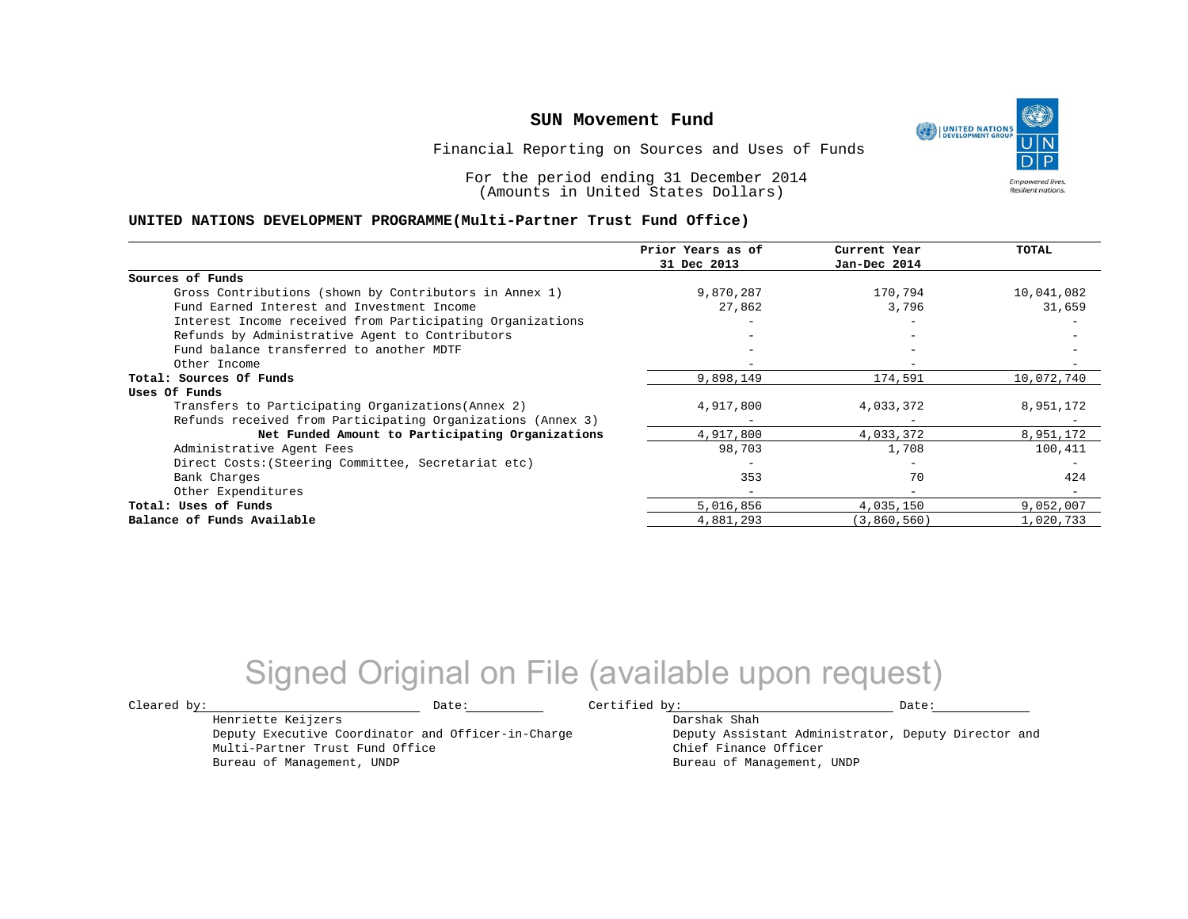UNITED NATIONS **Empowered lives** Resilient nations.

Financial Reporting on Sources and Uses of Funds

For the period ending 31 December 2014 (Amounts in United States Dollars)

#### **UNITED NATIONS DEVELOPMENT PROGRAMME(Multi-Partner Trust Fund Office)**

|                                                             | Prior Years as of<br>31 Dec 2013 | Current Year<br>Jan-Dec 2014 | <b>TOTAL</b> |
|-------------------------------------------------------------|----------------------------------|------------------------------|--------------|
|                                                             |                                  |                              |              |
| Sources of Funds                                            |                                  |                              |              |
| Gross Contributions (shown by Contributors in Annex 1)      | 9,870,287                        | 170,794                      | 10,041,082   |
| Fund Earned Interest and Investment Income                  | 27,862                           | 3,796                        | 31,659       |
| Interest Income received from Participating Organizations   |                                  |                              |              |
| Refunds by Administrative Agent to Contributors             |                                  | $-$                          |              |
| Fund balance transferred to another MDTF                    |                                  | $-$                          |              |
| Other Income                                                |                                  |                              |              |
| Total: Sources Of Funds                                     | 9,898,149                        | 174,591                      | 10,072,740   |
| Uses Of Funds                                               |                                  |                              |              |
| Transfers to Participating Organizations (Annex 2)          | 4,917,800                        | 4,033,372                    | 8,951,172    |
| Refunds received from Participating Organizations (Annex 3) |                                  |                              |              |
| Net Funded Amount to Participating Organizations            | 4,917,800                        | 4,033,372                    | 8,951,172    |
| Administrative Agent Fees                                   | 98,703                           | 1,708                        | 100,411      |
| Direct Costs: (Steering Committee, Secretariat etc)         |                                  | $\overline{\phantom{0}}$     |              |
| Bank Charges                                                | 353                              | 70                           | 424          |
| Other Expenditures                                          |                                  | $\overline{\phantom{0}}$     |              |
| Total: Uses of Funds                                        | 5,016,856                        | 4,035,150                    | 9,052,007    |
| Balance of Funds Available                                  | 4,881,293                        | (3,860,560)                  | 1,020,733    |

## Signed Original on File (available upon request)

 $\texttt{Cleared by:}\footnotesize \begin{minipage}{0.9\linewidth} \texttt{Date:}\footnotesize \begin{minipage}{0.9\linewidth} \texttt{Date:}\footnotesize \begin{minipage}{0.9\linewidth} \end{minipage} \end{minipage}$ 

Darshak Shah

Henriette Keijzers Deputy Executive Coordinator and Officer-in-Charge Multi-Partner Trust Fund Office Bureau of Management, UNDP

Deputy Assistant Administrator, Deputy Director and Chief Finance Officer Bureau of Management, UNDP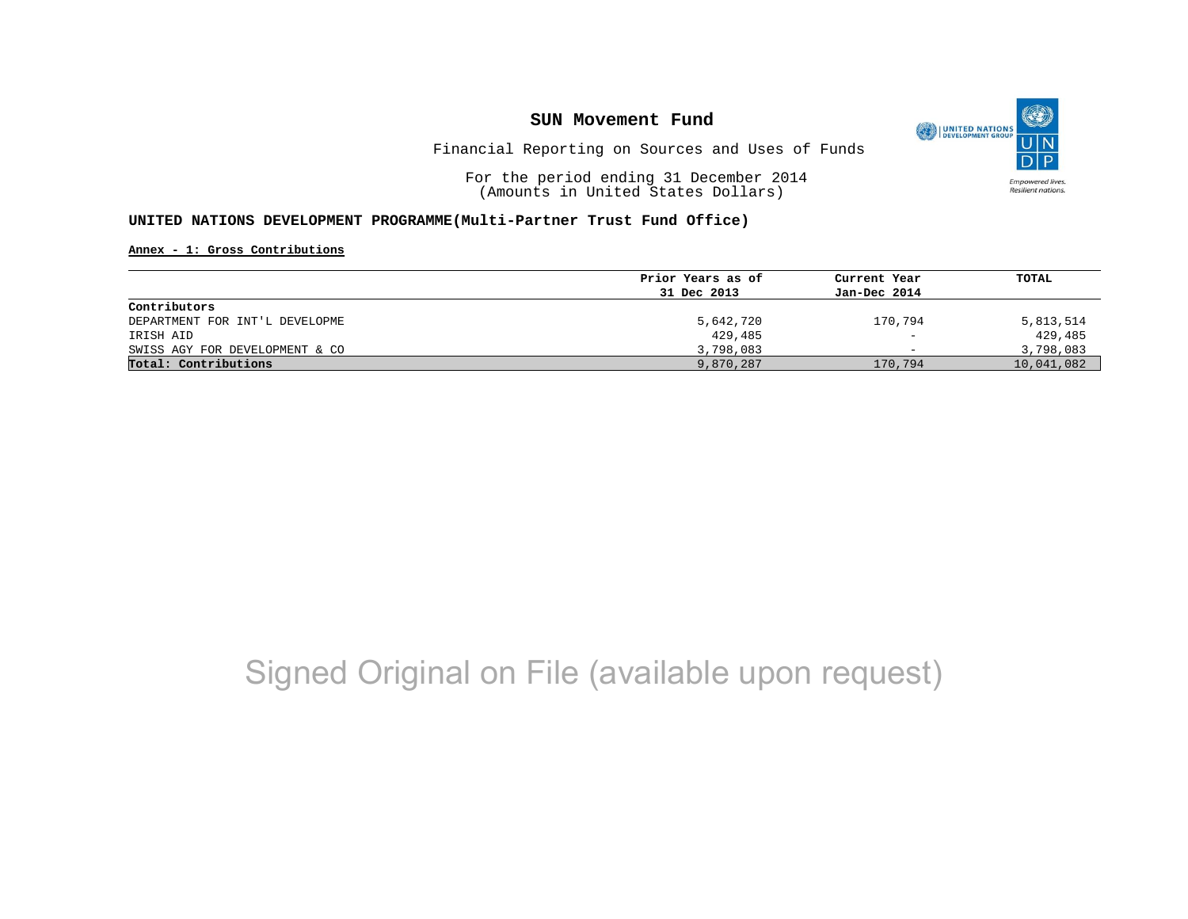

Financial Reporting on Sources and Uses of Funds

For the period ending 31 December 2014 (Amounts in United States Dollars)

#### **UNITED NATIONS DEVELOPMENT PROGRAMME(Multi-Partner Trust Fund Office)**

**Annex - 1: Gross Contributions**

| Prior Years as of | Current Year             | TOTAL      |
|-------------------|--------------------------|------------|
| 31 Dec 2013       | Jan-Dec 2014             |            |
|                   |                          |            |
| 5,642,720         | 170,794                  | 5,813,514  |
| 429,485           | $\overline{\phantom{0}}$ | 429,485    |
| 3,798,083         | $\overline{\phantom{0}}$ | 3,798,083  |
| 9,870,287         | 170,794                  | 10,041,082 |
|                   |                          |            |

## Signed Original on File (available upon request)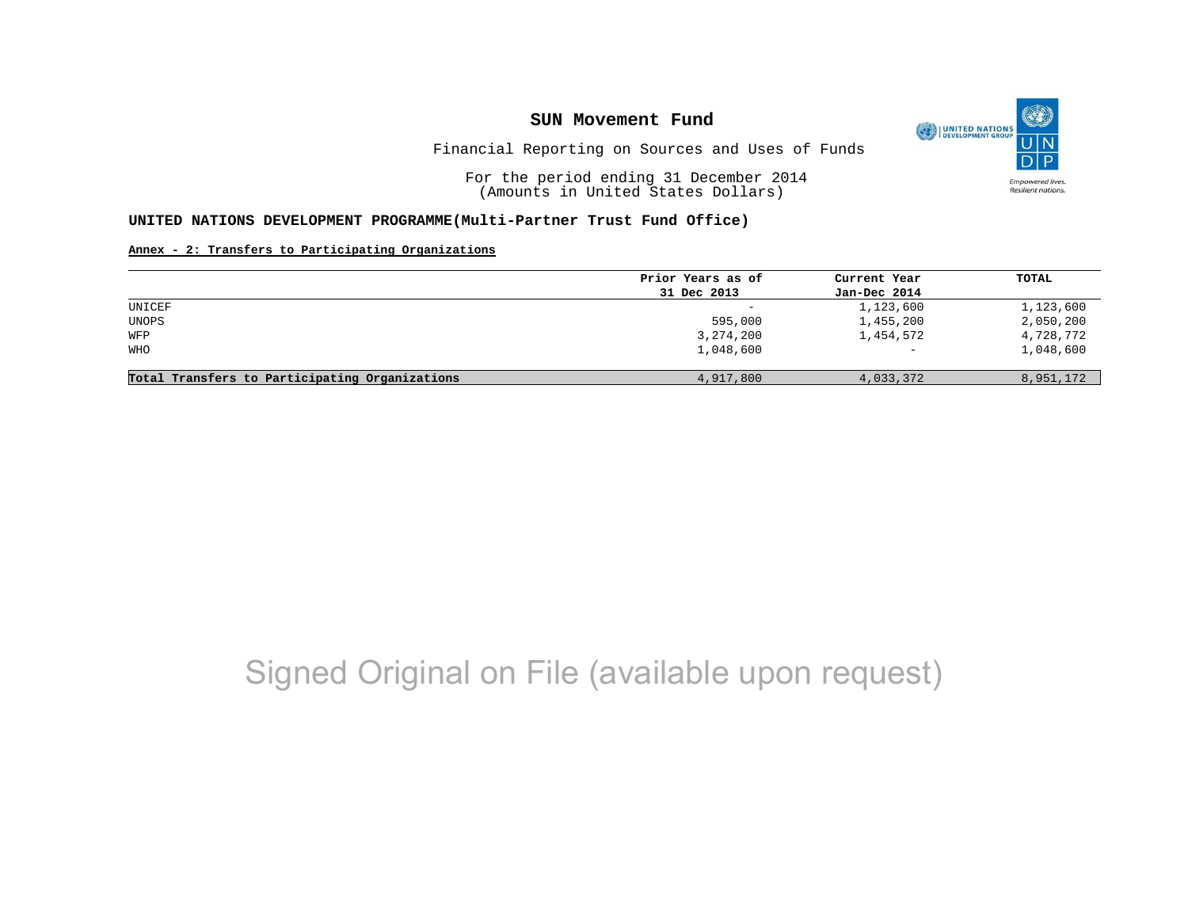

Financial Reporting on Sources and Uses of Funds

For the period ending 31 December 2014 (Amounts in United States Dollars)

#### **UNITED NATIONS DEVELOPMENT PROGRAMME(Multi-Partner Trust Fund Office)**

#### **Annex - 2: Transfers to Participating Organizations**

|                                                | Prior Years as of | Current Year      | TOTAL     |
|------------------------------------------------|-------------------|-------------------|-----------|
|                                                | 31 Dec 2013       | Jan-Dec 2014      |           |
| UNICEF                                         | -                 | 1,123,600         | 1,123,600 |
| UNOPS                                          | 595,000           | 1,455,200         | 2,050,200 |
| WFP                                            | 3, 274, 200       | 1,454,572         | 4,728,772 |
| <b>WHO</b>                                     | 1,048,600         | $\qquad \qquad -$ | 1,048,600 |
| Total Transfers to Participating Organizations | 4,917,800         | 4,033,372         | 8,951,172 |

## Signed Original on File (available upon request)